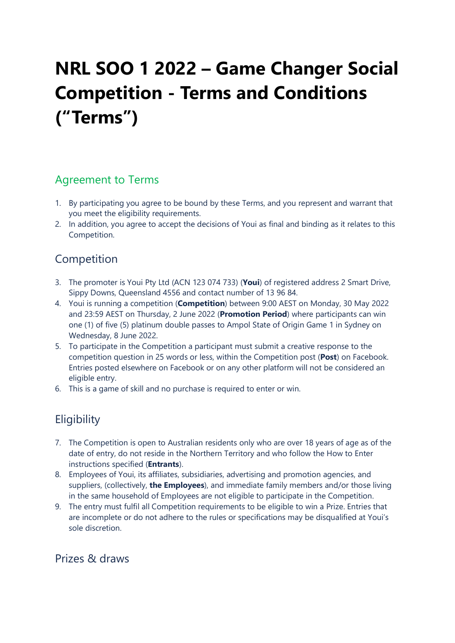# NRL SOO 1 2022 – Game Changer Social Competition - Terms and Conditions ("Terms")

### Agreement to Terms

- 1. By participating you agree to be bound by these Terms, and you represent and warrant that you meet the eligibility requirements.
- 2. In addition, you agree to accept the decisions of Youi as final and binding as it relates to this Competition.

# **Competition**

- 3. The promoter is Youi Pty Ltd (ACN 123 074 733) (Youi) of registered address 2 Smart Drive, Sippy Downs, Queensland 4556 and contact number of 13 96 84.
- 4. Youi is running a competition (Competition) between 9:00 AEST on Monday, 30 May 2022 and 23:59 AEST on Thursday, 2 June 2022 (Promotion Period) where participants can win one (1) of five (5) platinum double passes to Ampol State of Origin Game 1 in Sydney on Wednesday, 8 June 2022.
- 5. To participate in the Competition a participant must submit a creative response to the competition question in 25 words or less, within the Competition post (Post) on Facebook. Entries posted elsewhere on Facebook or on any other platform will not be considered an eligible entry.
- 6. This is a game of skill and no purchase is required to enter or win.

# **Eligibility**

- 7. The Competition is open to Australian residents only who are over 18 years of age as of the date of entry, do not reside in the Northern Territory and who follow the How to Enter instructions specified (Entrants).
- 8. Employees of Youi, its affiliates, subsidiaries, advertising and promotion agencies, and suppliers, (collectively, the Employees), and immediate family members and/or those living in the same household of Employees are not eligible to participate in the Competition.
- 9. The entry must fulfil all Competition requirements to be eligible to win a Prize. Entries that are incomplete or do not adhere to the rules or specifications may be disqualified at Youi's sole discretion.

### Prizes & draws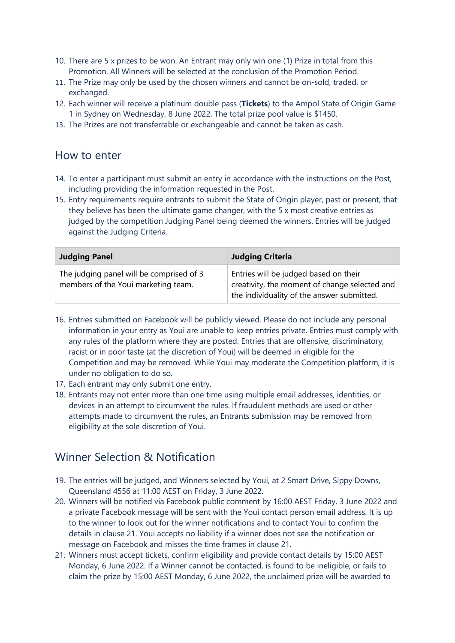- 10. There are 5 x prizes to be won. An Entrant may only win one (1) Prize in total from this Promotion. All Winners will be selected at the conclusion of the Promotion Period.
- 11. The Prize may only be used by the chosen winners and cannot be on-sold, traded, or exchanged.
- 12. Each winner will receive a platinum double pass (Tickets) to the Ampol State of Origin Game 1 in Sydney on Wednesday, 8 June 2022. The total prize pool value is \$1450.
- 13. The Prizes are not transferrable or exchangeable and cannot be taken as cash.

#### How to enter

- 14. To enter a participant must submit an entry in accordance with the instructions on the Post, including providing the information requested in the Post.
- 15. Entry requirements require entrants to submit the State of Origin player, past or present, that they believe has been the ultimate game changer, with the 5 x most creative entries as judged by the competition Judging Panel being deemed the winners. Entries will be judged against the Judging Criteria.

| <b>Judging Panel</b>                                                            | <b>Judging Criteria</b>                                                                                                              |
|---------------------------------------------------------------------------------|--------------------------------------------------------------------------------------------------------------------------------------|
| The judging panel will be comprised of 3<br>members of the Youi marketing team. | Entries will be judged based on their<br>creativity, the moment of change selected and<br>the individuality of the answer submitted. |

- 16. Entries submitted on Facebook will be publicly viewed. Please do not include any personal information in your entry as Youi are unable to keep entries private. Entries must comply with any rules of the platform where they are posted. Entries that are offensive, discriminatory, racist or in poor taste (at the discretion of Youi) will be deemed in eligible for the Competition and may be removed. While Youi may moderate the Competition platform, it is under no obligation to do so.
- 17. Each entrant may only submit one entry.
- 18. Entrants may not enter more than one time using multiple email addresses, identities, or devices in an attempt to circumvent the rules. If fraudulent methods are used or other attempts made to circumvent the rules, an Entrants submission may be removed from eligibility at the sole discretion of Youi.

### Winner Selection & Notification

- 19. The entries will be judged, and Winners selected by Youi, at 2 Smart Drive, Sippy Downs, Queensland 4556 at 11:00 AEST on Friday, 3 June 2022.
- 20. Winners will be notified via Facebook public comment by 16:00 AEST Friday, 3 June 2022 and a private Facebook message will be sent with the Youi contact person email address. It is up to the winner to look out for the winner notifications and to contact Youi to confirm the details in clause 21. Youi accepts no liability if a winner does not see the notification or message on Facebook and misses the time frames in clause 21.
- 21. Winners must accept tickets, confirm eligibility and provide contact details by 15:00 AEST Monday, 6 June 2022. If a Winner cannot be contacted, is found to be ineligible, or fails to claim the prize by 15:00 AEST Monday, 6 June 2022, the unclaimed prize will be awarded to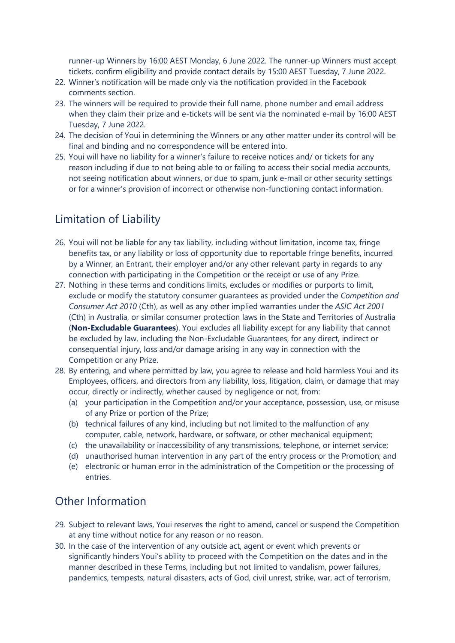runner-up Winners by 16:00 AEST Monday, 6 June 2022. The runner-up Winners must accept tickets, confirm eligibility and provide contact details by 15:00 AEST Tuesday, 7 June 2022.

- 22. Winner's notification will be made only via the notification provided in the Facebook comments section.
- 23. The winners will be required to provide their full name, phone number and email address when they claim their prize and e-tickets will be sent via the nominated e-mail by 16:00 AEST Tuesday, 7 June 2022.
- 24. The decision of Youi in determining the Winners or any other matter under its control will be final and binding and no correspondence will be entered into.
- 25. Youi will have no liability for a winner's failure to receive notices and/ or tickets for any reason including if due to not being able to or failing to access their social media accounts, not seeing notification about winners, or due to spam, junk e-mail or other security settings or for a winner's provision of incorrect or otherwise non-functioning contact information.

# Limitation of Liability

- 26. Youi will not be liable for any tax liability, including without limitation, income tax, fringe benefits tax, or any liability or loss of opportunity due to reportable fringe benefits, incurred by a Winner, an Entrant, their employer and/or any other relevant party in regards to any connection with participating in the Competition or the receipt or use of any Prize.
- 27. Nothing in these terms and conditions limits, excludes or modifies or purports to limit, exclude or modify the statutory consumer guarantees as provided under the Competition and Consumer Act 2010 (Cth), as well as any other implied warranties under the ASIC Act 2001 (Cth) in Australia, or similar consumer protection laws in the State and Territories of Australia (Non-Excludable Guarantees). Youi excludes all liability except for any liability that cannot be excluded by law, including the Non-Excludable Guarantees, for any direct, indirect or consequential injury, loss and/or damage arising in any way in connection with the Competition or any Prize.
- 28. By entering, and where permitted by law, you agree to release and hold harmless Youi and its Employees, officers, and directors from any liability, loss, litigation, claim, or damage that may occur, directly or indirectly, whether caused by negligence or not, from:
	- (a) your participation in the Competition and/or your acceptance, possession, use, or misuse of any Prize or portion of the Prize;
	- (b) technical failures of any kind, including but not limited to the malfunction of any computer, cable, network, hardware, or software, or other mechanical equipment;
	- (c) the unavailability or inaccessibility of any transmissions, telephone, or internet service;
	- (d) unauthorised human intervention in any part of the entry process or the Promotion; and
	- (e) electronic or human error in the administration of the Competition or the processing of entries.

### Other Information

- 29. Subject to relevant laws, Youi reserves the right to amend, cancel or suspend the Competition at any time without notice for any reason or no reason.
- 30. In the case of the intervention of any outside act, agent or event which prevents or significantly hinders Youi's ability to proceed with the Competition on the dates and in the manner described in these Terms, including but not limited to vandalism, power failures, pandemics, tempests, natural disasters, acts of God, civil unrest, strike, war, act of terrorism,